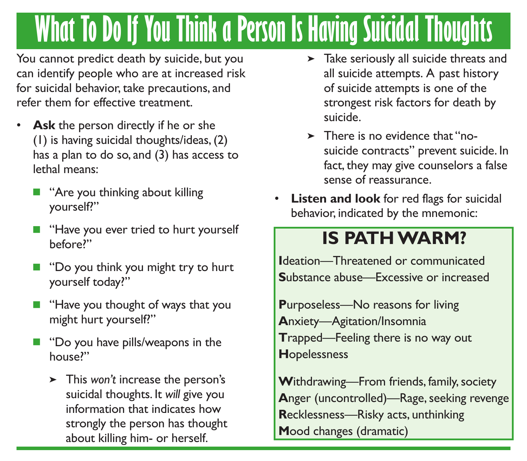## **What To Do If You Think a Person Is Having Suicidal Thoughts**

You cannot predict death by suicide, but you can identify people who are at increased risk for suicidal behavior, take precautions, and refer them for effective treatment.

- Ask the person directly if he or she (1) is having suicidal thoughts/ideas, (2) has a plan to do so, and (3) has access to lethal means:
	- $\blacksquare$  "Are you thinking about killing" yourself?"
	- **n** "Have you ever tried to hurt yourself before?"
	- "Do you think you might try to hurt yourself today?"
	- $\blacksquare$  "Have you thought of ways that you might hurt yourself?"
	- "Do you have pills/weapons in the house?"
		- This *won't* increase the person's suicidal thoughts. It *will* give you information that indicates how strongly the person has thought about killing him- or herself.
- > Take seriously all suicide threats and all suicide attempts. A past history of suicide attempts is one of the strongest risk factors for death by suicide.
- > There is no evidence that "nosuicide contracts" prevent suicide. In fact, they may give counselors a false sense of reassurance.
- **Listen and look** for red flags for suicidal behavior, indicated by the mnemonic:

## **IS PATH WARM?**

**I**deation—Threatened or communicated **S**ubstance abuse—Excessive or increased

**P**urposeless—No reasons for living **A**nxiety—Agitation/Insomnia **T**rapped—Feeling there is no way out **H**opelessness

**W**ithdrawing—From friends, family, society **A**nger (uncontrolled)—Rage, seeking revenge **R**ecklessness—Risky acts, unthinking **M**ood changes (dramatic)